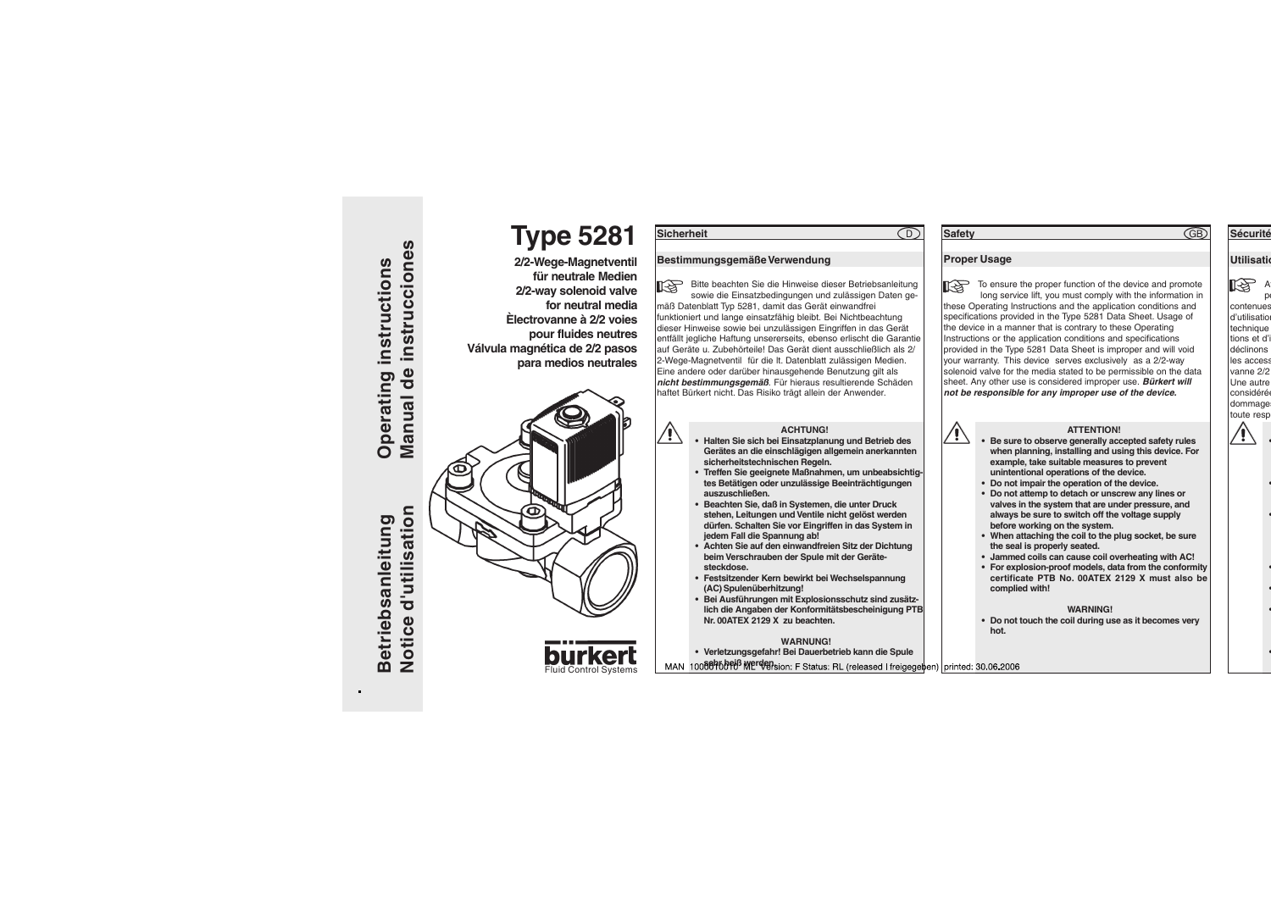**Betriebsanleitung** 



## **ACHTUNG!**

- **• Halten Sie sich bei Einsatzplanung und Betrieb des Gerätes an die einschlägigen allgemein anerkannten sicherheitstechnischen Regeln.**
- **• Treffen Sie geeignete Maßnahmen, um unbeabsichtigtes Betätigen oder unzulässige Beeinträchtigungen auszuschließen.**
- **• Beachten Sie, daß in Systemen, die unter Druck stehen, Leitungen und Ventile nicht gelöst werden dürfen. Schalten Sie vor Eingriffen in das System in jedem Fall die Spannung ab!**
- **• Achten Sie auf den einwandfreien Sitz der Dichtung beim Verschrauben der Spule mit der Gerätesteckdose.**
- **• Festsitzender Kern bewirkt bei Wechselspannung (AC) Spulenüberhitzung!**
- **• Bei Ausführungen mit Explosionsschutz sind zusätzlich die Angaben der Konformitätsbescheinigung PTB Nr. 00ATEX 2129 X zu beachten.**

### **WARNUNG!**

**• Verletzungsgefahr! Bei Dauerbetrieb kann die Spule**

10088468768 Werdension: F Status: RL (released I freigegeten) printed: 30.06.2006

## **ATTENTION!**

- **• Be sure to observe generally accepted safety rules when planning, installing and using this device. For example, take suitable measures to prevent unintentional operations of the device.**
	- **• Do not impair the operation of the device.**
- **• Do not attemp to detach or unscrew any lines or valves in the system that are under pressure, and always be sure to switch off the voltage supply before working on the system.**
- **• When attaching the coil to the plug socket, be sure the seal is properly seated.**
- **• Jammed coils can cause coil overheating with AC!**
- **• For explosion-proof models, data from the conformity certificate PTB No. 00ATEX 2129 X must also be complied with!**

### **WARNING!**

**• Do not touch the coil during use as it becomes very hot.**

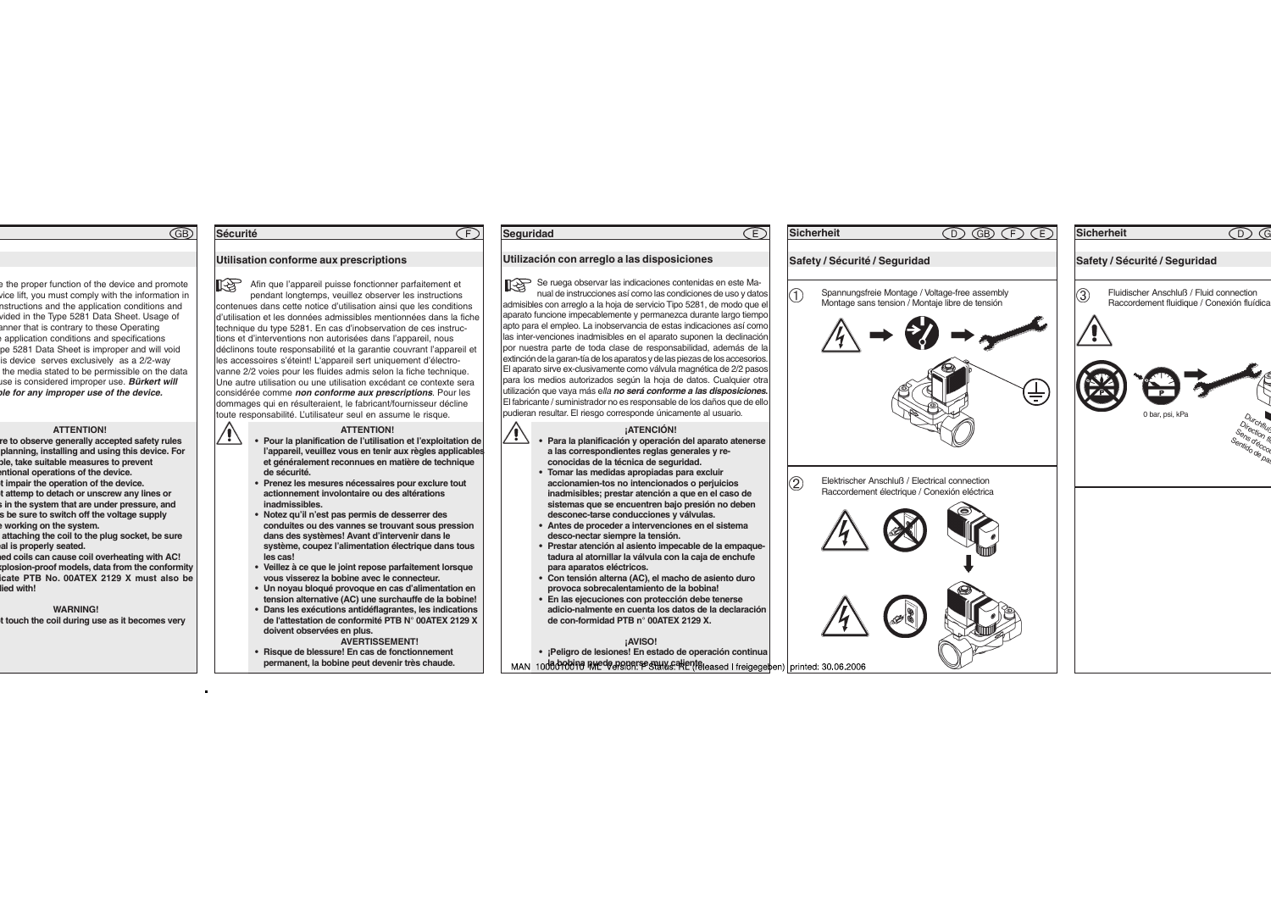## **Sécurité**

# **Utilisation conforme aux prescriptions**

**LAS** Afin que l'appareil puisse fonctionner parfaitement et pendant longtemps, veuillez observer les instructions contenues dans cette notice d'utilisation ainsi que les conditions d'utilisation et les données admissibles mentionnées dans la fiche technique du type 5281. En cas d'inobservation de ces instructions et d'interventions non autorisées dans l'appareil, nous déclinons toute responsabilité et la garantie couvrant l'appareil et les accessoires s'éteint! L'appareil sert uniquement d'électrovanne 2/2 voies pour les fluides admis selon la fiche technique. Une autre utilisation ou une utilisation excédant ce contexte sera considérée comme **non conforme aux prescriptions**. Pour les dommages qui en résulteraient, le fabricant/fournisseur décline toute responsabilité. L'utilisateur seul en assume le risque.

∕!`

# **ATTENTION!**

- **• Pour la planification de l'utilisation et l'exploitation de l'appareil, veuillez vous en tenir aux règles applicables et généralement reconnues en matière de technique de sécurité.**
- **• Prenez les mesures nécessaires pour exclure tout actionnement involontaire ou des altérations inadmissibles.**
- **• Notez qu'il n'est pas permis de desserrer des conduites ou des vannes se trouvant sous pression dans des systèmes! Avant d'intervenir dans le système, coupez l'alimentation électrique dans tous les cas!**
- **• Veillez à ce que le joint repose parfaitement lorsque vous visserez la bobine avec le connecteur.**
- **• Un noyau bloqué provoque en cas d'alimentation en tension alternative (AC) une surchauffe de la bobine!**
- **• Dans les exécutions antidéflagrantes, les indications de l'attestation de conformité PTB N° 00ATEX 2129 X doivent observées en plus.**

**AVERTISSEMENT!**

**• Risque de blessure! En cas de fonctionnement permanent, la bobine peut devenir très chaude.**

## **Seguridad**

∕ !`

Œ

# **Utilización con arreglo a las disposiciones**

Se ruega observar las indicaciones contenidas en este Manual de instrucciones así como las condiciones de uso y datos admisibles con arreglo a la hoja de servicio Tipo 5281, de modo que el aparato funcione impecablemente y permanezca durante largo tiempo apto para el empleo. La inobservancia de estas indicaciones así como las inter-venciones inadmisibles en el aparato suponen la declinación por nuestra parte de toda clase de responsabilidad, además de la extinción de la garan-tía de los aparatos y de las piezas de los accesorios. El aparato sirve ex-clusivamente como válvula magnética de 2/2 pasos para los medios autorizados según la hoja de datos. Cualquier otra utilización que vaya más ella **no será conforme a las disposiciones.** El fabricante / suministrador no es responsable de los daños que de ello pudieran resultar. El riesgo corresponde únicamente al usuario.

## **¡ATENCIÓN!**

Ē.

- **• Para la planificación y operación del aparato atenerse a las correspondientes reglas generales y reconocidas de la técnica de seguridad.**
	- **• Tomar las medidas apropiadas para excluir accionamien-tos no intencionados o perjuicios inadmisibles; prestar atención a que en el caso de sistemas que se encuentren bajo presión no deben desconec-tarse conducciones y válvulas.**
	- **• Antes de proceder a intervenciones en el sistema desco-nectar siempre la tensión.**
	- **• Prestar atención al asiento impecable de la empaquetadura al atornillar la válvula con la caja de enchufe para aparatos eléctricos.**
	- **• Con tensión alterna (AC), el macho de asiento duro provoca sobrecalentamiento de la bobina!**
	- **• En las ejecuciones con protección debe tenerse adicio-nalmente en cuenta los datos de la declaración de con-formidad PTB n° 00ATEX 2129 X.**

### **¡AVISO!**

**• ¡Peligro de lesiones! En estado de operación continua**

MAN 1008090019 RMede ponerse stuly calienteleased I freigeget

|                         | <b>Sicherheit</b>             | $\bigcirc$                                                                                        | GB E E |
|-------------------------|-------------------------------|---------------------------------------------------------------------------------------------------|--------|
|                         | Safety / Sécurité / Seguridad |                                                                                                   |        |
| I                       |                               | Spannungsfreie Montage / Voltage-free assembly<br>Montage sans tension / Montaje libre de tensión |        |
|                         |                               |                                                                                                   |        |
|                         |                               |                                                                                                   |        |
|                         |                               |                                                                                                   |        |
|                         |                               |                                                                                                   |        |
| $\widehat{\mathcal{Z}}$ |                               | Elektrischer Anschluß / Electrical connection<br>Raccordement électrique / Conexión eléctrica     |        |
|                         |                               |                                                                                                   |        |
|                         |                               |                                                                                                   |        |
|                         |                               |                                                                                                   |        |
|                         |                               |                                                                                                   |        |
|                         |                               |                                                                                                   |        |
|                         | en)   printed: 30.06.2006     |                                                                                                   |        |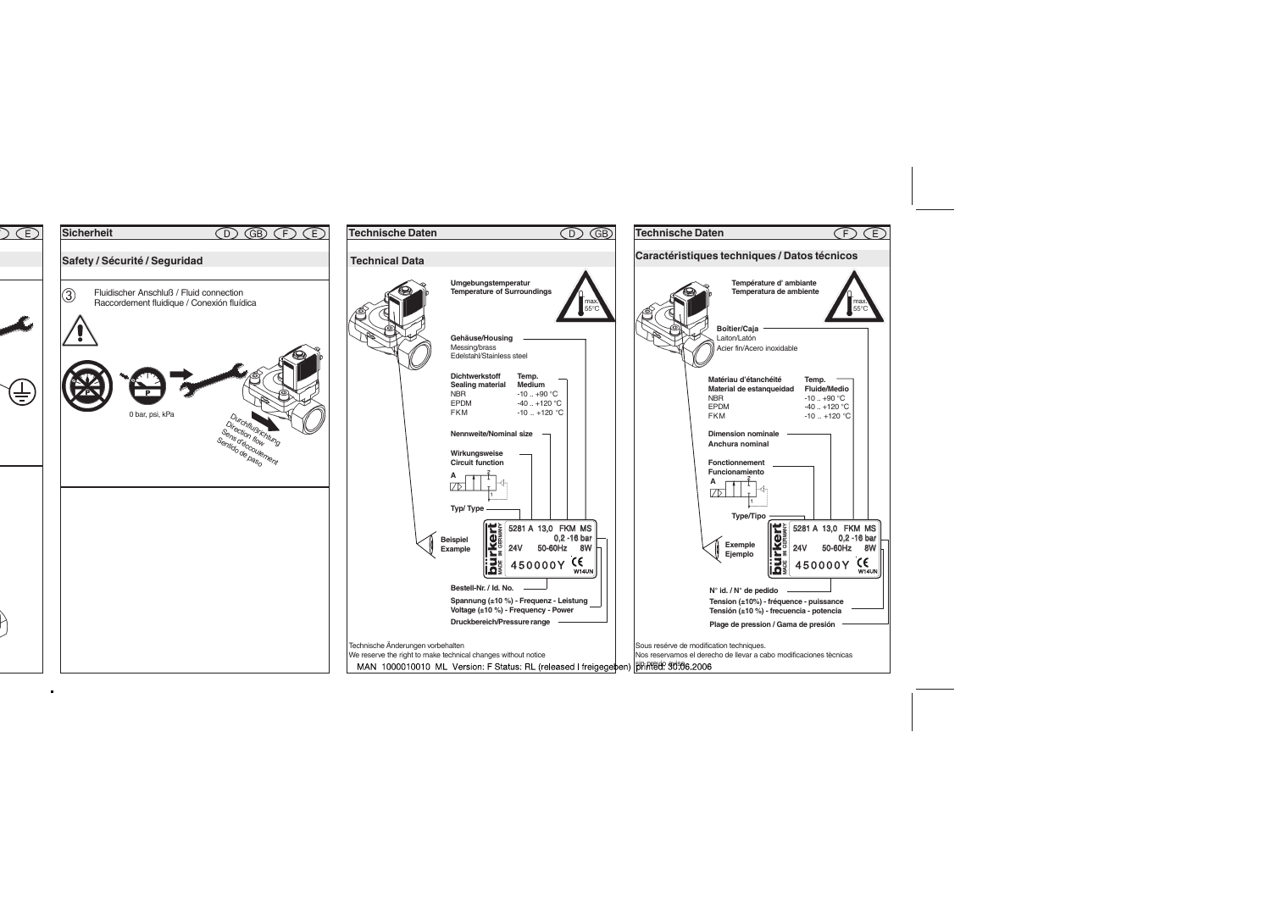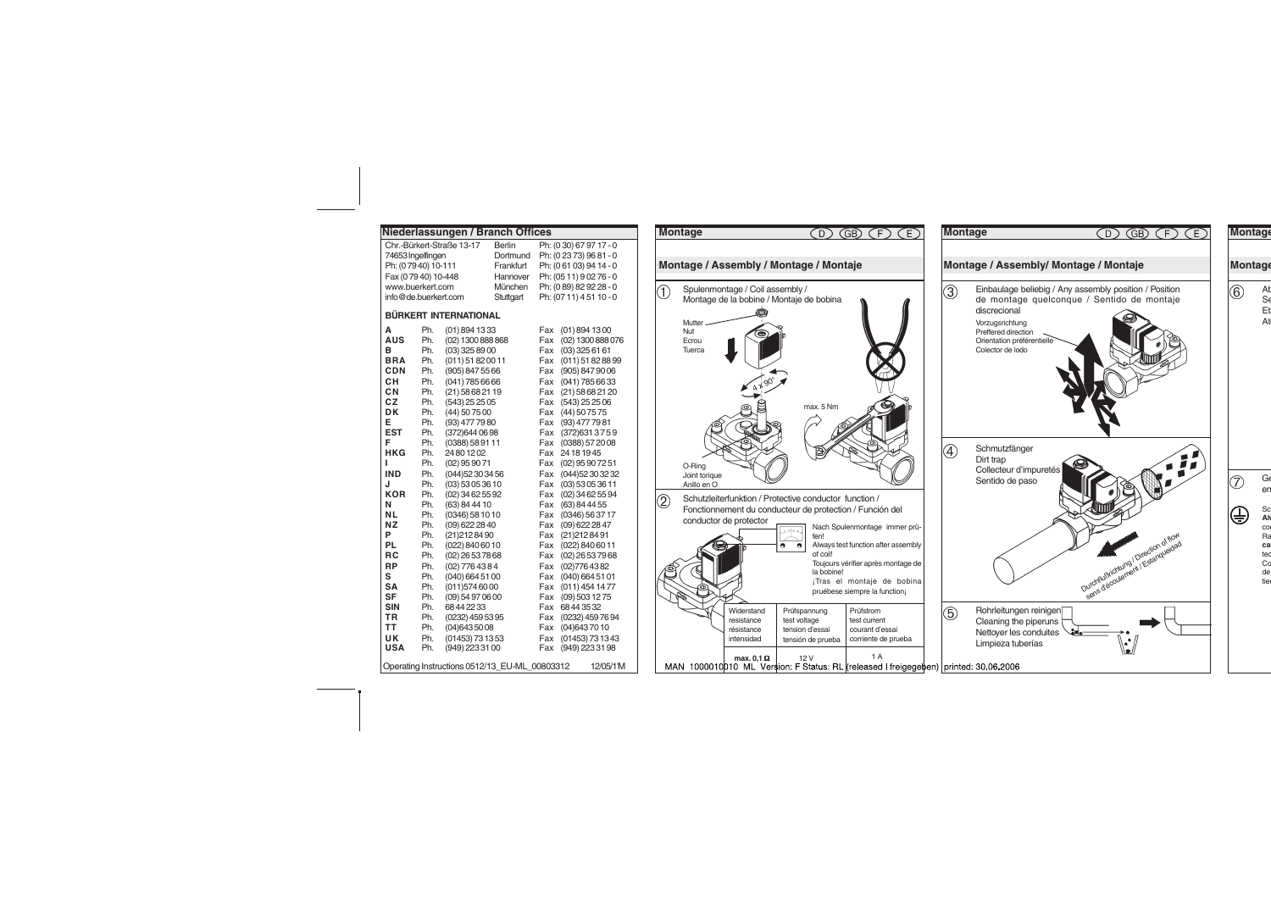|                      |            | Niederlassungen / Branch Offices              |           |            |                         |
|----------------------|------------|-----------------------------------------------|-----------|------------|-------------------------|
|                      |            | Chr.-Bürkert-Straße 13-17                     | Berlin    |            | Ph: (0 30) 67 97 17 - 0 |
| 74653 Ingelfingen    |            |                                               | Dortmund  |            | Ph: (02373) 9681 - 0    |
| Ph: (07940) 10-111   |            |                                               | Frankfurt |            | Ph: (061 03) 94 14 - 0  |
| Fax (07940) 10-448   |            |                                               | Hannover  |            | Ph: (05 11) 9 02 76 - 0 |
| www.buerkert.com     |            |                                               | München   |            | Ph: (0 89) 82 92 28 - 0 |
| info@de.buerkert.com |            |                                               | Stuttgart |            | Ph: (07 11) 4 51 10 - 0 |
|                      |            | <b>BÜRKERT INTERNATIONAL</b>                  |           |            |                         |
| А                    | Ph.        | $(01)$ 894 1333                               |           | Fax        | (01) 894 1300           |
| AUS                  | Ph.        | (02) 1300 888 868                             |           | Fax        | (02) 1300 888 076       |
| в                    | Ph.        | (03) 325 89 00                                |           | Fax        | $(03)$ 325 61 61        |
| <b>BRA</b>           | Ph.        | (011) 51 82 00 11                             |           | Fax        | (011) 51 82 88 99       |
| CDN                  | Ph.        | (905) 847 55 66                               |           | Fax        | (905) 847 90 06         |
| сн                   | Ph.        | $(041)$ 785 66 66                             |           | Fax        | $(041)$ 785 66 33       |
| СN                   | Ph.        | (21) 58 68 21 19                              |           | Fax        | $(21)$ 58 68 21 20      |
| CZ                   | Ph.        | (543) 25 25 05                                |           | Fax        | $(543)$ 25 25 06        |
| DK                   | Ph.        | (44) 50 75 00                                 |           | Fax        | (44) 50 75 75           |
| E                    | Ph.        | (93) 477 79 80                                |           | Fax        | (93) 477 79 81          |
| EST                  | Ph.        | (372) 644 06 98                               |           | Fax        | (372) 631 37 59         |
| F                    | Ph.        | (0388) 58 91 11                               |           | Fax        | (0388) 572008           |
| HKG                  | Ph.        | 24801202                                      |           | Fax        | 24 18 19 45             |
| L                    | Ph.        | $(02)$ 95 90 71                               |           | Fax        | $(02)$ 95 90 72 51      |
| IND                  | Ph.        | (044) 52 30 34 56                             |           | Fax        | (044) 52 30 32 32       |
| J                    | Ph.        | (03) 53 05 36 10                              |           | Fax        | $(03)$ 53 05 36 11      |
| <b>KOR</b>           | Ph.        | (02) 34 62 55 92                              |           | Fax        | $(02)$ 34 62 55 94      |
| Ν                    | Ph.        | (63) 84 44 10                                 |           | Fax        | $(63)$ 84 44 55         |
| <b>NL</b>            | Ph.        | (0346) 58 10 10                               |           | Fax        | (0346) 56 37 17         |
| NZ                   | Ph.        | (09) 622 28 40                                |           | Fax        | $(09)$ 622 28 47        |
| P                    | Ph.        | (21) 212 84 90                                |           | Fax        | (21) 212 84 91          |
| PL                   | Ph.        | (022) 840 60 10                               |           | Fax        | (022) 840 60 11         |
| RС                   | Ph.        | (02) 26 53 78 68                              |           | Fax        | $(02)$ 26 53 79 68      |
| RP                   | Ph.        | (02) 776 43 84                                |           | Fax        | (02)7764382             |
| S                    | Ph.        | (040) 664 51 00                               |           | Fax        | $(040)$ 664 51 01       |
| SΑ                   | Ph.        | (011)5746000                                  |           | Fax        | $(011)$ 454 1477        |
| <b>SF</b>            | Ph.        | (09) 54 97 06 00                              |           | Fax        | (09) 503 12 75          |
| <b>SIN</b>           | Ph.        | 68442233                                      |           | Fax        | 68443532                |
| ΤR                   | Ph.        | (0232) 459 53 95                              |           | Fax        | (0232) 459 76 94        |
| ТT<br>UK             | Ph.<br>Ph. | (04)6435008                                   |           | Fax        | (04) 643 70 10          |
| <b>USA</b>           | Ph.        | (01453) 73 13 53                              |           | Fax<br>Fax | (01453) 73 13 43        |
|                      |            | (949) 223 31 00                               |           |            | (949) 223 31 98         |
|                      |            | Operating Instructions 0512/13 EU-ML 00803312 |           |            | 12/05/1'M               |

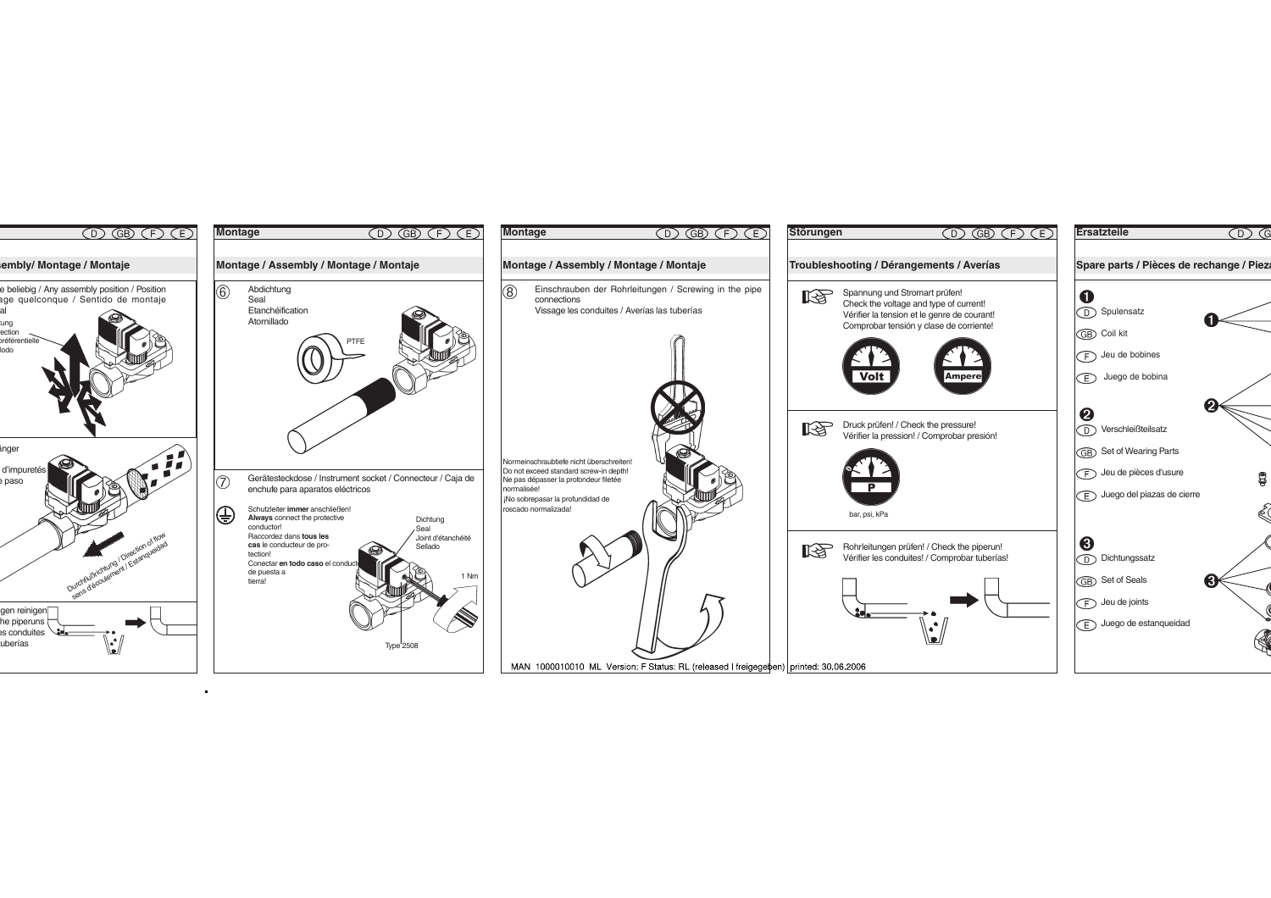